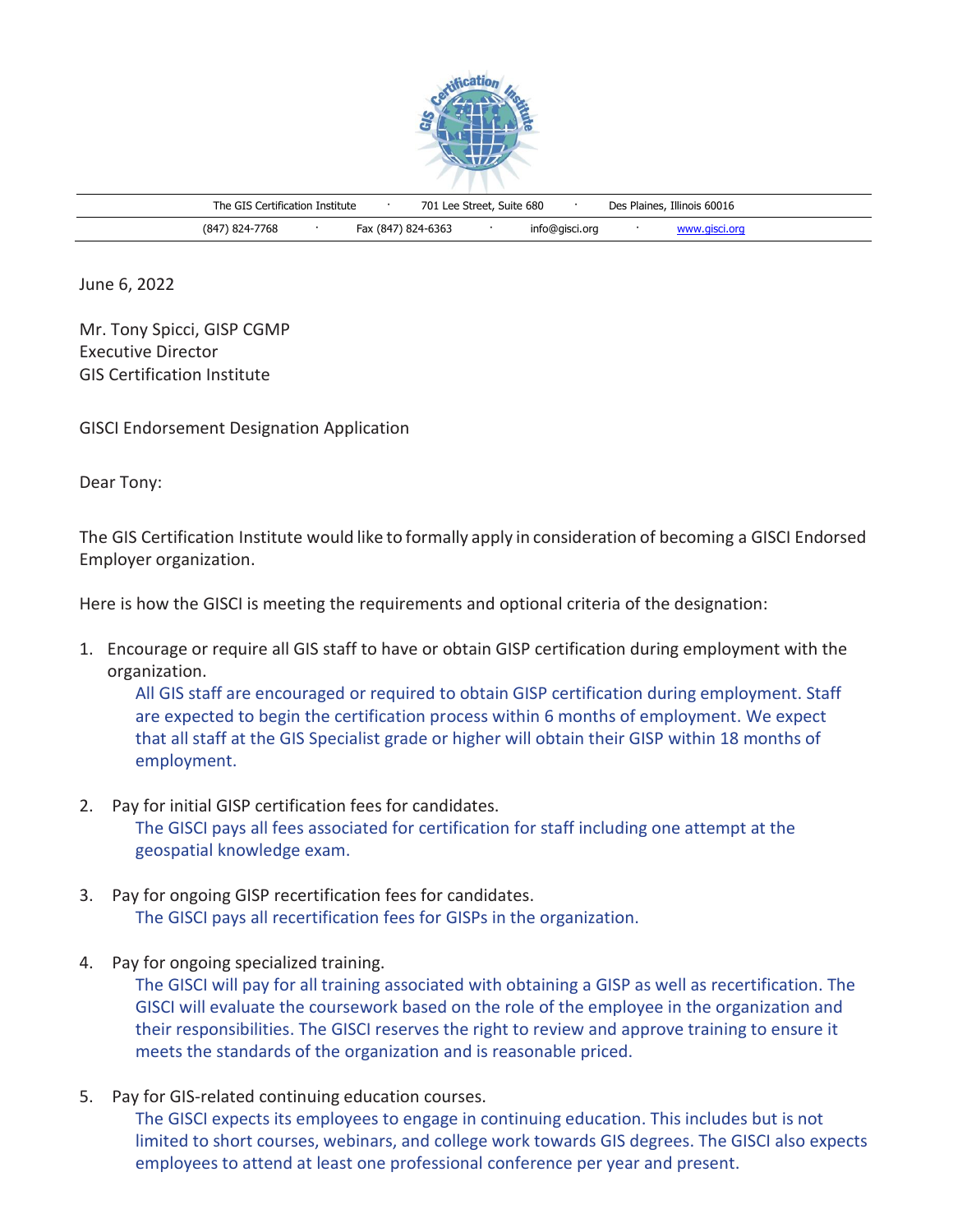

| The GIS Certification Institute |                    | 701 Lee Street, Suite 680 |                | Des Plaines, Illinois 60016 |               |  |
|---------------------------------|--------------------|---------------------------|----------------|-----------------------------|---------------|--|
| (847) 824-7768                  | Fax (847) 824-6363 |                           | info@gisci.org |                             | www.aisci.org |  |

June 6, 2022

Mr. Tony Spicci, GISP CGMP Executive Director GIS Certification Institute

GISCI Endorsement Designation Application

Dear Tony:

The GIS Certification Institute would like to formally apply in consideration of becoming a GISCI Endorsed Employer organization.

Here is how the GISCI is meeting the requirements and optional criteria of the designation:

1. Encourage or require all GIS staff to have or obtain GISP certification during employment with the organization.

All GIS staff are encouraged or required to obtain GISP certification during employment. Staff are expected to begin the certification process within 6 months of employment. We expect that all staff at the GIS Specialist grade or higher will obtain their GISP within 18 months of employment.

- 2. Pay for initial GISP certification fees for candidates. The GISCI pays all fees associated for certification for staff including one attempt at the geospatial knowledge exam.
- 3. Pay for ongoing GISP recertification fees for candidates. The GISCI pays all recertification fees for GISPs in the organization.
- 4. Pay for ongoing specialized training.

The GISCI will pay for all training associated with obtaining a GISP as well as recertification. The GISCI will evaluate the coursework based on the role of the employee in the organization and their responsibilities. The GISCI reserves the right to review and approve training to ensure it meets the standards of the organization and is reasonable priced.

5. Pay for GIS-related continuing education courses.

The GISCI expects its employees to engage in continuing education. This includes but is not limited to short courses, webinars, and college work towards GIS degrees. The GISCI also expects employees to attend at least one professional conference per year and present.